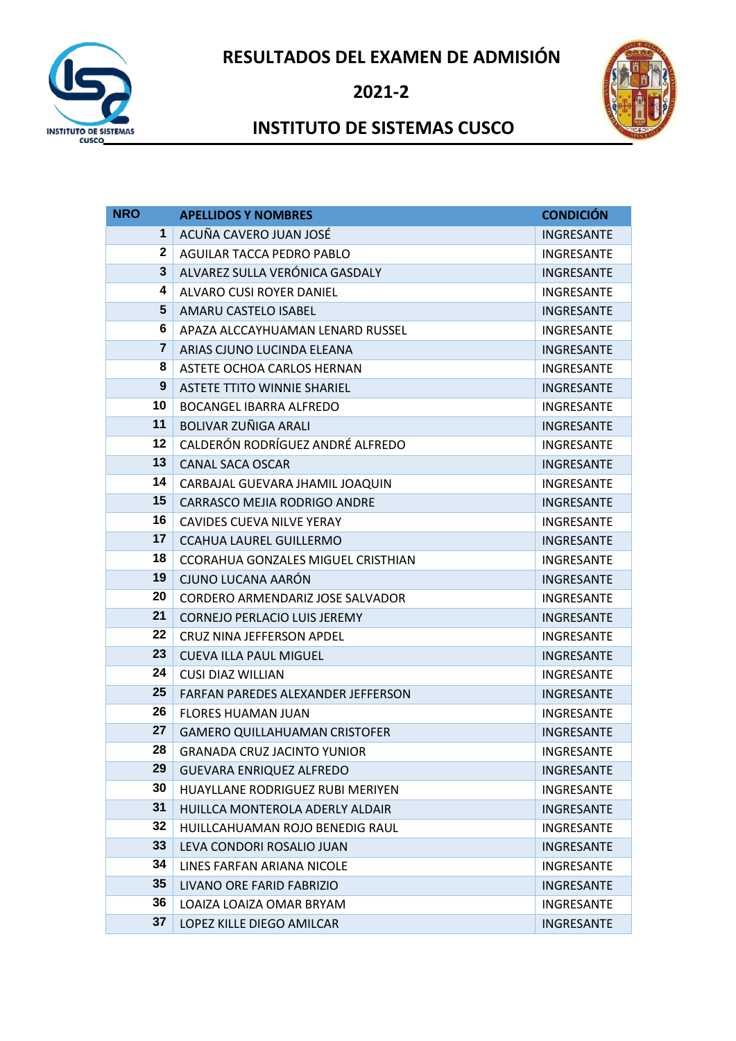**RESULTADOS DEL EXAMEN DE ADMISIÓN**



**2021-2**



## **INSTITUTO DE SISTEMAS CUSCO**

| <b>NRO</b>              | <b>APELLIDOS Y NOMBRES</b>                | <b>CONDICIÓN</b>  |
|-------------------------|-------------------------------------------|-------------------|
| $\mathbf 1$             | ACUÑA CAVERO JUAN JOSÉ                    | <b>INGRESANTE</b> |
| $\mathbf 2$             | AGUILAR TACCA PEDRO PABLO                 | <b>INGRESANTE</b> |
| 3                       | ALVAREZ SULLA VERÓNICA GASDALY            | <b>INGRESANTE</b> |
| 4                       | ALVARO CUSI ROYER DANIEL                  | INGRESANTE        |
| 5                       | AMARU CASTELO ISABEL                      | <b>INGRESANTE</b> |
| 6                       | APAZA ALCCAYHUAMAN LENARD RUSSEL          | INGRESANTE        |
| $\overline{\mathbf{r}}$ | ARIAS CJUNO LUCINDA ELEANA                | <b>INGRESANTE</b> |
| 8                       | ASTETE OCHOA CARLOS HERNAN                | INGRESANTE        |
| 9                       | <b>ASTETE TTITO WINNIE SHARIEL</b>        | INGRESANTE        |
| 10                      | <b>BOCANGEL IBARRA ALFREDO</b>            | INGRESANTE        |
| 11                      | BOLIVAR ZUÑIGA ARALI                      | <b>INGRESANTE</b> |
| 12                      | CALDERÓN RODRÍGUEZ ANDRÉ ALFREDO          | INGRESANTE        |
| 13                      | <b>CANAL SACA OSCAR</b>                   | <b>INGRESANTE</b> |
| 14                      | CARBAJAL GUEVARA JHAMIL JOAQUIN           | <b>INGRESANTE</b> |
| 15                      | CARRASCO MEJIA RODRIGO ANDRE              | INGRESANTE        |
| 16                      | <b>CAVIDES CUEVA NILVE YERAY</b>          | <b>INGRESANTE</b> |
| 17                      | <b>CCAHUA LAUREL GUILLERMO</b>            | <b>INGRESANTE</b> |
| 18                      | <b>CCORAHUA GONZALES MIGUEL CRISTHIAN</b> | INGRESANTE        |
| 19                      | CJUNO LUCANA AARÓN                        | <b>INGRESANTE</b> |
| 20                      | CORDERO ARMENDARIZ JOSE SALVADOR          | INGRESANTE        |
| 21                      | <b>CORNEJO PERLACIO LUIS JEREMY</b>       | <b>INGRESANTE</b> |
| 22                      | CRUZ NINA JEFFERSON APDEL                 | INGRESANTE        |
| 23                      | <b>CUEVA ILLA PAUL MIGUEL</b>             | <b>INGRESANTE</b> |
| 24                      | <b>CUSI DIAZ WILLIAN</b>                  | INGRESANTE        |
| 25                      | FARFAN PAREDES ALEXANDER JEFFERSON        | <b>INGRESANTE</b> |
| 26                      | <b>FLORES HUAMAN JUAN</b>                 | INGRESANTE        |
| 27                      | <b>GAMERO QUILLAHUAMAN CRISTOFER</b>      | <b>INGRESANTE</b> |
| 28                      | <b>GRANADA CRUZ JACINTO YUNIOR</b>        | INGRESANTE        |
| 29                      | <b>GUEVARA ENRIQUEZ ALFREDO</b>           | INGRESANTE        |
| 30                      | HUAYLLANE RODRIGUEZ RUBI MERIYEN          | INGRESANTE        |
| 31                      | HUILLCA MONTEROLA ADERLY ALDAIR           | <b>INGRESANTE</b> |
| 32                      | HUILLCAHUAMAN ROJO BENEDIG RAUL           | <b>INGRESANTE</b> |
| 33                      | LEVA CONDORI ROSALIO JUAN                 | <b>INGRESANTE</b> |
| 34                      | LINES FARFAN ARIANA NICOLE                | INGRESANTE        |
| 35                      | LIVANO ORE FARID FABRIZIO                 | INGRESANTE        |
| 36                      | LOAIZA LOAIZA OMAR BRYAM                  | <b>INGRESANTE</b> |
| 37                      | LOPEZ KILLE DIEGO AMILCAR                 | INGRESANTE        |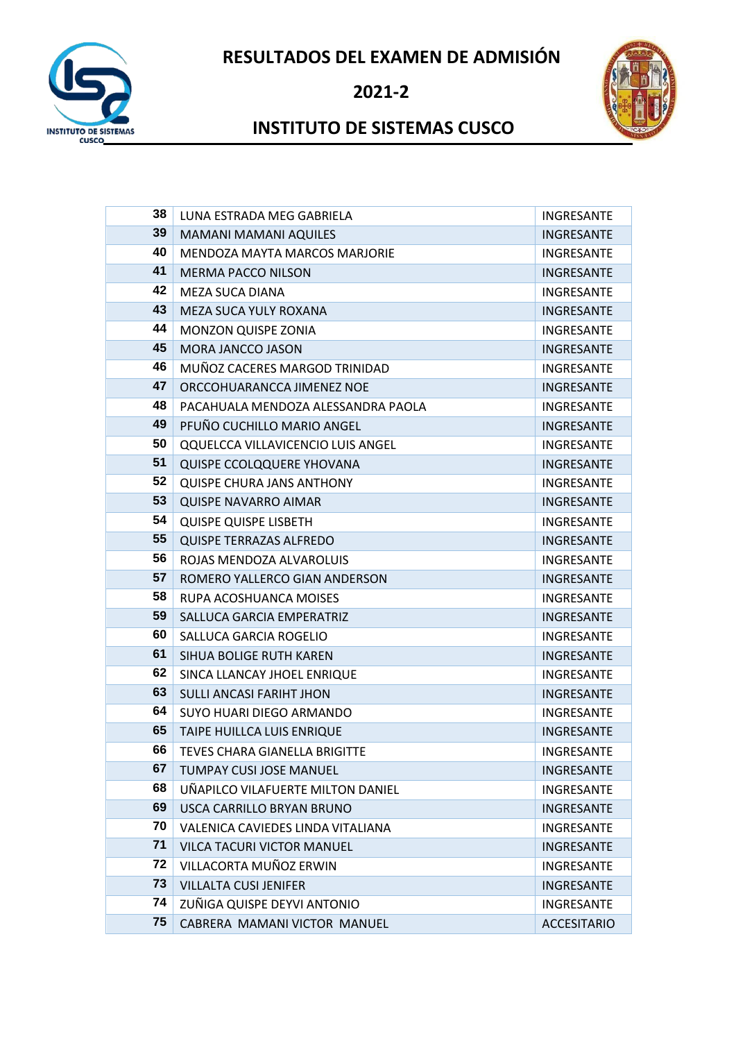**RESULTADOS DEL EXAMEN DE ADMISIÓN**



**2021-2**



## **INSTITUTO DE SISTEMAS CUSCO**

| 38 | LUNA ESTRADA MEG GABRIELA                | INGRESANTE         |
|----|------------------------------------------|--------------------|
| 39 | <b>MAMANI MAMANI AQUILES</b>             | <b>INGRESANTE</b>  |
| 40 | <b>MENDOZA MAYTA MARCOS MARJORIE</b>     | INGRESANTE         |
| 41 | <b>MERMA PACCO NILSON</b>                | <b>INGRESANTE</b>  |
| 42 | MEZA SUCA DIANA                          | INGRESANTE         |
| 43 | MEZA SUCA YULY ROXANA                    | INGRESANTE         |
| 44 | MONZON QUISPE ZONIA                      | <b>INGRESANTE</b>  |
| 45 | <b>MORA JANCCO JASON</b>                 | <b>INGRESANTE</b>  |
| 46 | MUÑOZ CACERES MARGOD TRINIDAD            | INGRESANTE         |
| 47 | ORCCOHUARANCCA JIMENEZ NOE               | INGRESANTE         |
| 48 | PACAHUALA MENDOZA ALESSANDRA PAOLA       | INGRESANTE         |
| 49 | PFUÑO CUCHILLO MARIO ANGEL               | INGRESANTE         |
| 50 | <b>QQUELCCA VILLAVICENCIO LUIS ANGEL</b> | INGRESANTE         |
| 51 | QUISPE CCOLQQUERE YHOVANA                | <b>INGRESANTE</b>  |
| 52 | <b>QUISPE CHURA JANS ANTHONY</b>         | INGRESANTE         |
| 53 | <b>QUISPE NAVARRO AIMAR</b>              | <b>INGRESANTE</b>  |
| 54 | <b>QUISPE QUISPE LISBETH</b>             | INGRESANTE         |
| 55 | <b>QUISPE TERRAZAS ALFREDO</b>           | <b>INGRESANTE</b>  |
| 56 | ROJAS MENDOZA ALVAROLUIS                 | INGRESANTE         |
| 57 | ROMERO YALLERCO GIAN ANDERSON            | <b>INGRESANTE</b>  |
| 58 | RUPA ACOSHUANCA MOISES                   | <b>INGRESANTE</b>  |
| 59 | SALLUCA GARCIA EMPERATRIZ                | INGRESANTE         |
| 60 | SALLUCA GARCIA ROGELIO                   | INGRESANTE         |
| 61 | SIHUA BOLIGE RUTH KAREN                  | <b>INGRESANTE</b>  |
| 62 | SINCA LLANCAY JHOEL ENRIQUE              | <b>INGRESANTE</b>  |
| 63 | <b>SULLI ANCASI FARIHT JHON</b>          | INGRESANTE         |
| 64 | SUYO HUARI DIEGO ARMANDO                 | INGRESANTE         |
| 65 | TAIPE HUILLCA LUIS ENRIQUE               | <b>INGRESANTE</b>  |
| 66 | <b>TEVES CHARA GIANELLA BRIGITTE</b>     | <b>INGRESANTE</b>  |
| 67 | <b>TUMPAY CUSI JOSE MANUEL</b>           | <b>INGRESANTE</b>  |
| 68 | UNAPILCO VILAFUERTE MILTON DANIEL        | <b>INGRESANTE</b>  |
| 69 | USCA CARRILLO BRYAN BRUNO                | <b>INGRESANTE</b>  |
| 70 | VALENICA CAVIEDES LINDA VITALIANA        | INGRESANTE         |
| 71 | <b>VILCA TACURI VICTOR MANUEL</b>        | <b>INGRESANTE</b>  |
| 72 | VILLACORTA MUÑOZ ERWIN                   | <b>INGRESANTE</b>  |
| 73 | <b>VILLALTA CUSI JENIFER</b>             | <b>INGRESANTE</b>  |
| 74 | ZUÑIGA QUISPE DEYVI ANTONIO              | INGRESANTE         |
| 75 | CABRERA MAMANI VICTOR MANUEL             | <b>ACCESITARIO</b> |